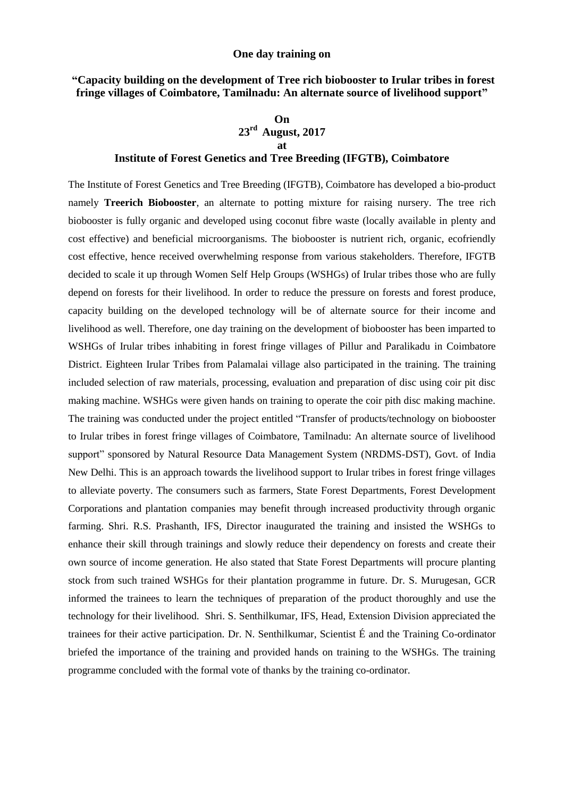#### **One day training on**

## **"Capacity building on the development of Tree rich biobooster to Irular tribes in forest fringe villages of Coimbatore, Tamilnadu: An alternate source of livelihood support"**

## **On 23rd August, 2017 at**

### **Institute of Forest Genetics and Tree Breeding (IFGTB), Coimbatore**

The Institute of Forest Genetics and Tree Breeding (IFGTB), Coimbatore has developed a bio-product namely **Treerich Biobooster**, an alternate to potting mixture for raising nursery. The tree rich biobooster is fully organic and developed using coconut fibre waste (locally available in plenty and cost effective) and beneficial microorganisms. The biobooster is nutrient rich, organic, ecofriendly cost effective, hence received overwhelming response from various stakeholders. Therefore, IFGTB decided to scale it up through Women Self Help Groups (WSHGs) of Irular tribes those who are fully depend on forests for their livelihood. In order to reduce the pressure on forests and forest produce, capacity building on the developed technology will be of alternate source for their income and livelihood as well. Therefore, one day training on the development of biobooster has been imparted to WSHGs of Irular tribes inhabiting in forest fringe villages of Pillur and Paralikadu in Coimbatore District. Eighteen Irular Tribes from Palamalai village also participated in the training. The training included selection of raw materials, processing, evaluation and preparation of disc using coir pit disc making machine. WSHGs were given hands on training to operate the coir pith disc making machine. The training was conducted under the project entitled "Transfer of products/technology on biobooster to Irular tribes in forest fringe villages of Coimbatore, Tamilnadu: An alternate source of livelihood support" sponsored by Natural Resource Data Management System (NRDMS-DST), Govt. of India New Delhi. This is an approach towards the livelihood support to Irular tribes in forest fringe villages to alleviate poverty. The consumers such as farmers, State Forest Departments, Forest Development Corporations and plantation companies may benefit through increased productivity through organic farming. Shri. R.S. Prashanth, IFS, Director inaugurated the training and insisted the WSHGs to enhance their skill through trainings and slowly reduce their dependency on forests and create their own source of income generation. He also stated that State Forest Departments will procure planting stock from such trained WSHGs for their plantation programme in future. Dr. S. Murugesan, GCR informed the trainees to learn the techniques of preparation of the product thoroughly and use the technology for their livelihood. Shri. S. Senthilkumar, IFS, Head, Extension Division appreciated the trainees for their active participation. Dr. N. Senthilkumar, Scientist É and the Training Co-ordinator briefed the importance of the training and provided hands on training to the WSHGs. The training programme concluded with the formal vote of thanks by the training co-ordinator.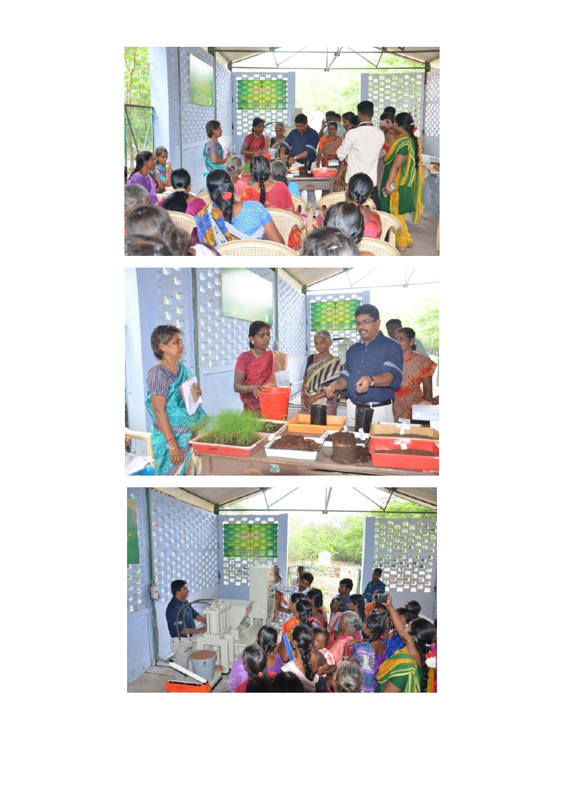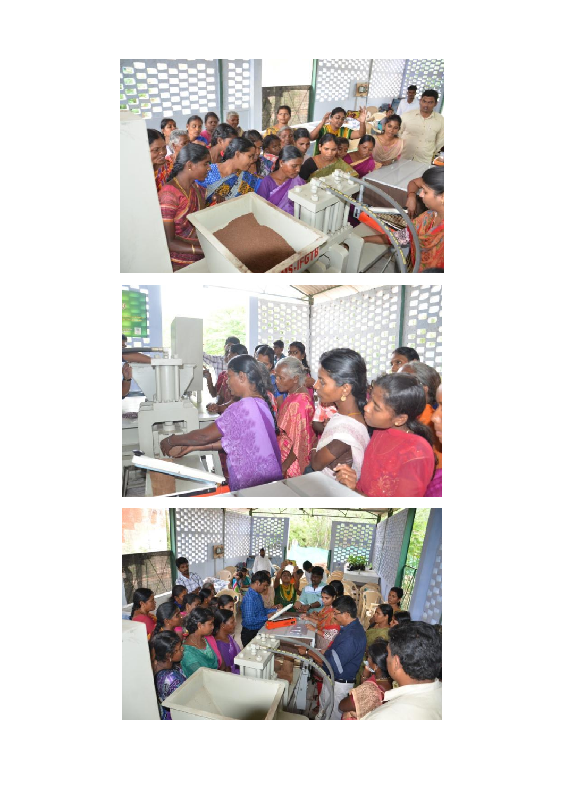